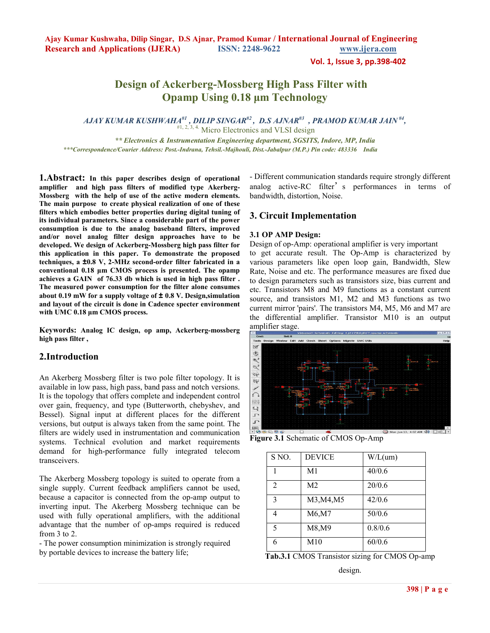**Vol. 1, Issue 3, pp.398-402**

# **Design of Ackerberg-Mossberg High Pass Filter with Opamp Using 0.18 µm Technology**

*AJAY KUMAR KUSHWAHA#1 , DILIP SINGAR#2 , D.S AJNAR#3 , PRAMOD KUMAR JAIN #4 ,*  #1, 2, 3, 4. Micro Electronics and VLSI design

 *\*\* Electronics & Instrumentation Engineering department, SGSITS, Indore, MP, India \*\*\*Correspondence/Courier Address: Post.-Indrana, Tehsil.-Majhouli, Dist.-Jabalpur (M.P.) Pin code: 483336 India* 

**1.Abstract: In this paper describes design of operational amplifier and high pass filters of modified type Akerberg-Mossberg with the help of use of the active modern elements. The main purpose to create physical realization of one of these filters which embodies better properties during digital tuning of its individual parameters. Since a considerable part of the power consumption is due to the analog baseband filters, improved and/or novel analog filter design approaches have to be developed. We design of Ackerberg-Mossberg high pass filter for this application in this paper. To demonstrate the proposed techniques, a ±0.8 V, 2-MHz second-order filter fabricated in a conventional 0.18 µm CMOS process is presented. The opamp achieves a GAIN of 76.33 db which is used in high pass filter . The measured power consumption for the filter alone consumes about 0.19 mW for a supply voltage of ± 0.8 V. Design,simulation and layout of the circuit is done in Cadence specter environment with UMC 0.18 µm CMOS process.** 

**Keywords: Analog IC design, op amp, Ackerberg-mossberg high pass filter ,** 

## **2.Introduction**

An Akerberg Mossberg filter is two pole filter topology. It is available in low pass, high pass, band pass and notch versions. It is the topology that offers complete and independent control over gain, frequency, and type (Butterworth, chebyshev, and Bessel). Signal input at different places for the different versions, but output is always taken from the same point. The filters are widely used in instrumentation and communication systems. Technical evolution and market requirements demand for high-performance fully integrated telecom transceivers.

The Akerberg Mossberg topology is suited to operate from a single supply. Current feedback amplifiers cannot be used, because a capacitor is connected from the op-amp output to inverting input. The Akerberg Mossberg technique can be used with fully operational amplifiers, with the additional advantage that the number of op-amps required is reduced from 3 to 2.

- The power consumption minimization is strongly required by portable devices to increase the battery life;

- Different communication standards require strongly different analog active-RC filter's performances in terms of bandwidth, distortion, Noise.

# **3. Circuit Implementation**

#### **3.1 OP AMP Design:**

Design of op-Amp: operational amplifier is very important

to get accurate result. The Op-Amp is characterized by various parameters like open loop gain, Bandwidth, Slew Rate, Noise and etc. The performance measures are fixed due to design parameters such as transistors size, bias current and etc. Transistors M8 and M9 functions as a constant current source, and transistors M1, M2 and M3 functions as two current mirror 'pairs'. The transistors M4, M5, M6 and M7 are the differential amplifier. Transistor M10 is an output amplifier stage.



**Figure 3.1** Schematic of CMOS Op-Amp

| S NO.          | <b>DEVICE</b>  | W/L(num) |
|----------------|----------------|----------|
| 1              | M1             | 40/0.6   |
| $\overline{2}$ | M <sub>2</sub> | 20/0.6   |
| 3              | M3, M4, M5     | 42/0.6   |
| 4              | M6,M7          | 50/0.6   |
| 5              | M8,M9          | 0.8/0.6  |
| 6              | M10            | 60/0.6   |

**Tab.3.1** CMOS Transistor sizing for CMOS Op-amp design.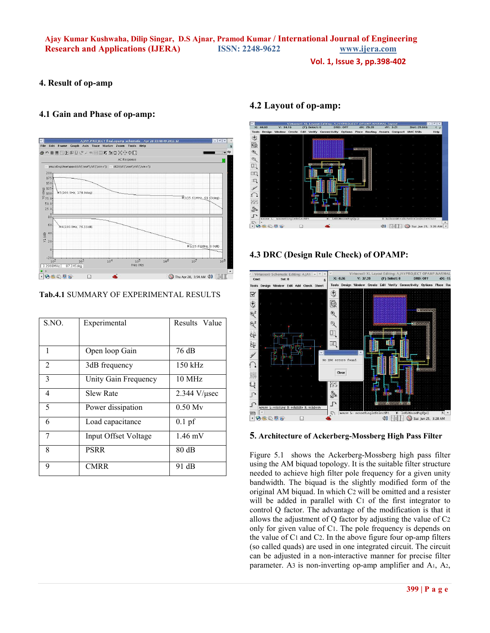**Vol. 1, Issue 3, pp.398-402**

## **4. Result of op-amp**

## **4.1 Gain and Phase of op-amp:**



**Tab.4.1** SUMMARY OF EXPERIMENTAL RESULTS

| S.NO. | Experimental         | Results Value        |
|-------|----------------------|----------------------|
|       |                      |                      |
| 1     | Open loop Gain       | 76 dB                |
| 2     | 3dB frequency        | $150$ kHz            |
| 3     | Unity Gain Frequency | $10 \text{ MHz}$     |
| 4     | <b>Slew Rate</b>     | $2.344$ V/ $\mu$ sec |
| 5     | Power dissipation    | $0.50$ My            |
| 6     | Load capacitance     | $0.1$ pf             |
| 7     | Input Offset Voltage | $1.46$ mV            |
| 8     | PSRR                 | 80dB                 |
| 9     | <b>CMRR</b>          | 91 dB                |

# **4.2 Layout of op-amp:**



# **4.3 DRC (Design Rule Check) of OPAMP:**



**5. Architecture of Ackerberg-Mossberg High Pass Filter** 

Figure 5.1 shows the Ackerberg-Mossberg high pass filter using the AM biquad topology. It is the suitable filter structure needed to achieve high filter pole frequency for a given unity bandwidth. The biquad is the slightly modified form of the original AM biquad. In which C2 will be omitted and a resister will be added in parallel with C1 of the first integrator to control Q factor. The advantage of the modification is that it allows the adjustment of Q factor by adjusting the value of C2 only for given value of C1. The pole frequency is depends on the value of C1 and C2. In the above figure four op-amp filters (so called quads) are used in one integrated circuit. The circuit can be adjusted in a non-interactive manner for precise filter parameter. A3 is non-inverting op-amp amplifier and A1, A2,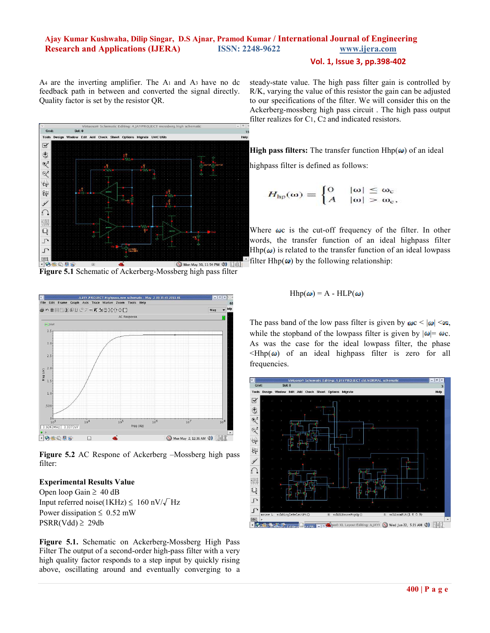### **Vol. 1, Issue 3, pp.398-402**

A4 are the inverting amplifier. The A1 and A3 have no dc feedback path in between and converted the signal directly. Quality factor is set by the resistor QR.



**Figure 5.1** Schematic of Ackerberg-Mossberg high pass filter



**Figure 5.2** AC Respone of Ackerberg –Mossberg high pass filter:

### **Experimental Results Value**

Open loop Gain  $\geq 40$  dB Input referred noise(1KHz)  $\leq 160$  nV/ $\sqrt{\text{Hz}}$ Power dissipation  $\leq 0.52$  mW  $PSRR(Vdd) \geq 29db$ 

**Figure 5.1.** Schematic on Ackerberg-Mossberg High Pass Filter The output of a second-order high-pass filter with a very high quality factor responds to a step input by quickly rising above, oscillating around and eventually converging to a steady-state value. The high pass filter gain is controlled by R/K, varying the value of this resistor the gain can be adjusted to our specifications of the filter. We will consider this on the Ackerberg-mossberg high pass circuit . The high pass output filter realizes for C1, C2 and indicated resistors.

**High pass filters:** The transfer function  $Hhp(\omega)$  of an ideal

highpass filter is defined as follows:

$$
H_{hp}(\omega) = \begin{cases} 0 & |\omega| \leq \omega_c \\ A & |\omega| > \omega_c, \end{cases}
$$

Where  $\omega c$  is the cut-off frequency of the filter. In other words, the transfer function of an ideal highpass filter  $Hhp(\omega)$  is related to the transfer function of an ideal lowpass  $\tilde{\text{F}}$ filter Hhp( $\omega$ ) by the following relationship:

$$
Hhp(\omega) = A - HLP(\omega)
$$

The pass band of the low pass filter is given by  $\omega c < |\omega| < \infty$ , while the stopband of the lowpass filter is given by  $|\omega| = \omega_c$ . As was the case for the ideal lowpass filter, the phase  $\langle Hhp(\omega)$  of an ideal highpass filter is zero for all frequencies.

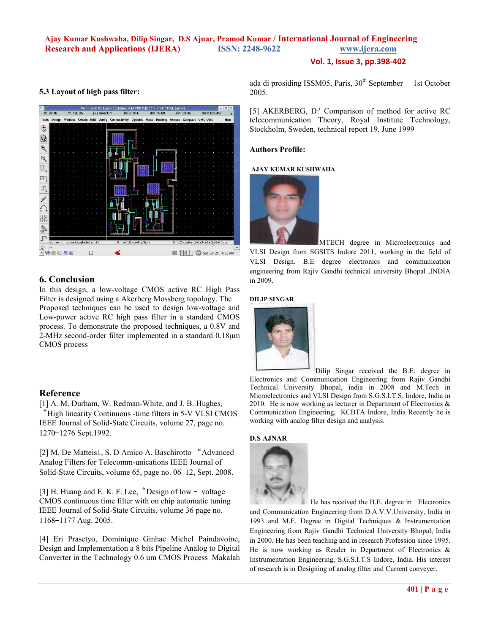## **Vol. 1, Issue 3, pp.398-402**

### **5.3 Layout of high pass filter:**



## **6. Conclusion**

In this design, a low-voltage CMOS active RC High Pass Filter is designed using a Akerberg Mossberg topology. The Proposed techniques can be used to design low-voltage and Low-power active RC high pass filter in a standard CMOS process. To demonstrate the proposed techniques, a 0.8V and 2-MHz second-order filter implemented in a standard 0.18µm CMOS process

### **Reference**

[1] A. M. Durham, W. Redman-White, and J. B. Hughes, "High linearity Continuous -time filters in 5-V VLSI CMOS IEEE Journal of Solid-State Circuits, volume 27, page no. 1270-1276 Sept.1992.

[2] M. De Matteis1, S. D Amico A. Baschirotto "Advanced Analog Filters for Telecomm-unications IEEE Journal of Solid-State Circuits, volume 65, page no. 06–12, Sept. 2008.

[3] H. Huang and E. K. F. Lee, "Design of low - voltage CMOS continuous time filter with on chip automatic tuning IEEE Journal of Solid-State Circuits, volume 36 page no. 1168-1177 Aug. 2005.

[4] Eri Prasetyo, Dominique Ginhac Michel Paindavoine, Design and Implementation a 8 bits Pipeline Analog to Digital Converter in the Technology 0.6 um CMOS Process Makalah ada di prosiding ISSM05, Paris,  $30<sup>th</sup>$  September – 1st October 2005.

[5] AKERBERG, D:' Comparison of method for active RC telecommunication Theory, Royal Institute Technology, Stockholm, Sweden, technical report 19, June 1999

### **Authors Profile:**

### **AJAY KUMAR KUSHWAHA**



MTECH degree in Microelectronics and VLSI Design from SGSITS Indore 2011, working in the field of VLSI Design. B.E degree electronics and communication engineering from Rajiv Gandhi technical university Bhopal ,INDIA in 2009.

#### **DILIP SINGAR**



Dilip Singar received the B.E. degree in Electronics and Communication Engineering from Rajiv Gandhi Technical University Bhopal, india in 2008 and M.Tech in Microelectronics and VLSI Design from S.G.S.I.T.S. Indore, India in 2010. He is now working as lecturer in Department of Electronics & Communication Engineering, KCBTA Indore, India Recently he is working with analog filter design and analysis.

### **D.S AJNAR**



 He has received the B.E. degree inElectronics and Communication Engineering from D.A.V.V.University, India in 1993 and M.E. Degree in Digital Techniques & Instrumentation Engineering from Rajiv Gandhi Technical University Bhopal, India in 2000. He has been teaching and in research Profession since 1995. He is now working as Reader in Department of Electronics & Instrumentation Engineering, S.G.S.I.T.S Indore, India. His interest of research is in Designing of analog filter and Current conveyer.